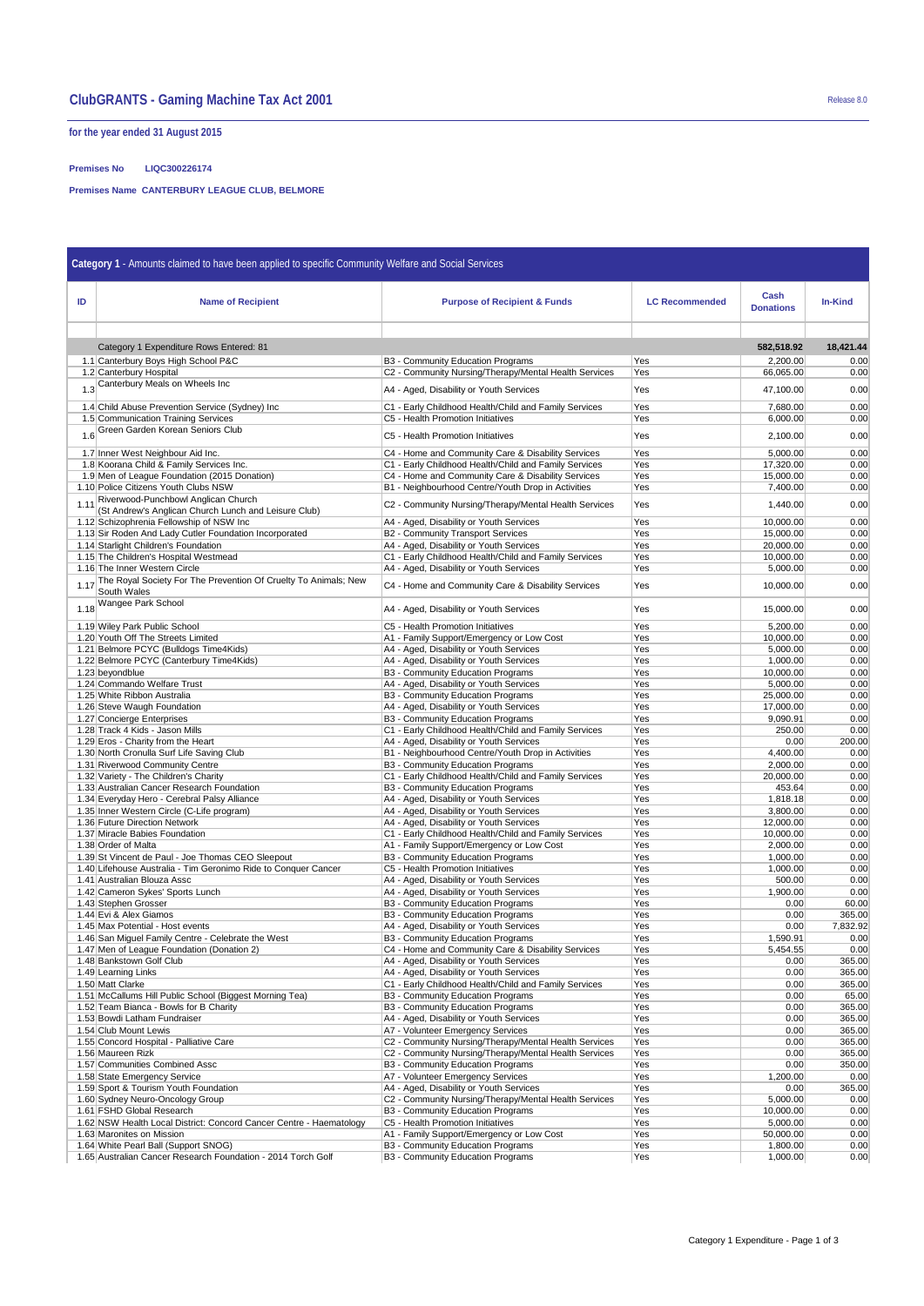# **ClubGRANTS - Gaming Machine Tax Act 2001** Release 8.0

**for the year ended 31 August 2015**

## **Premises No LIQC300226174**

**Premises Name CANTERBURY LEAGUE CLUB, BELMORE**

| Category 1 - Amounts claimed to have been applied to specific Community Welfare and Social Services |                                                                                                    |                                                                                                          |                       |                          |                  |  |  |  |  |
|-----------------------------------------------------------------------------------------------------|----------------------------------------------------------------------------------------------------|----------------------------------------------------------------------------------------------------------|-----------------------|--------------------------|------------------|--|--|--|--|
|                                                                                                     |                                                                                                    |                                                                                                          |                       |                          |                  |  |  |  |  |
| ID                                                                                                  | <b>Name of Recipient</b>                                                                           | <b>Purpose of Recipient &amp; Funds</b>                                                                  | <b>LC Recommended</b> | Cash<br><b>Donations</b> | <b>In-Kind</b>   |  |  |  |  |
|                                                                                                     |                                                                                                    |                                                                                                          |                       |                          |                  |  |  |  |  |
|                                                                                                     |                                                                                                    |                                                                                                          |                       |                          |                  |  |  |  |  |
|                                                                                                     | Category 1 Expenditure Rows Entered: 81                                                            |                                                                                                          |                       | 582,518.92               | 18,421.44        |  |  |  |  |
|                                                                                                     | 1.1 Canterbury Boys High School P&C<br>1.2 Canterbury Hospital                                     | B3 - Community Education Programs<br>C2 - Community Nursing/Therapy/Mental Health Services               | Yes<br>Yes            | 2,200.00<br>66,065.00    | 0.00<br>0.00     |  |  |  |  |
|                                                                                                     | 1.3 Canterbury Meals on Wheels Inc                                                                 | A4 - Aged, Disability or Youth Services                                                                  | Yes                   | 47,100.00                | 0.00             |  |  |  |  |
|                                                                                                     | 1.4 Child Abuse Prevention Service (Sydney) Inc.                                                   | C1 - Early Childhood Health/Child and Family Services                                                    | Yes                   | 7.680.00                 | 0.00             |  |  |  |  |
|                                                                                                     | 1.5 Communication Training Services                                                                | C5 - Health Promotion Initiatives                                                                        | Yes                   | 6,000.00                 | 0.00             |  |  |  |  |
|                                                                                                     | 1.6 Green Garden Korean Seniors Club                                                               | C5 - Health Promotion Initiatives                                                                        | Yes                   | 2,100.00                 | 0.00             |  |  |  |  |
|                                                                                                     | 1.7 Inner West Neighbour Aid Inc.                                                                  | C4 - Home and Community Care & Disability Services                                                       | Yes                   | 5,000.00                 | 0.00             |  |  |  |  |
|                                                                                                     | 1.8 Koorana Child & Family Services Inc.                                                           | C1 - Early Childhood Health/Child and Family Services                                                    | Yes                   | 17,320.00                | 0.00             |  |  |  |  |
|                                                                                                     | 1.9 Men of League Foundation (2015 Donation)<br>1.10 Police Citizens Youth Clubs NSW               | C4 - Home and Community Care & Disability Services<br>B1 - Neighbourhood Centre/Youth Drop in Activities | Yes<br>Yes            | 15,000.00<br>7,400.00    | 0.00<br>0.00     |  |  |  |  |
| 1.11                                                                                                | Riverwood-Punchbowl Anglican Church                                                                |                                                                                                          | Yes                   |                          |                  |  |  |  |  |
|                                                                                                     | (St Andrew's Anglican Church Lunch and Leisure Club)                                               | C2 - Community Nursing/Therapy/Mental Health Services                                                    |                       | 1,440.00                 | 0.00             |  |  |  |  |
|                                                                                                     | 1.12 Schizophrenia Fellowship of NSW Inc<br>1.13 Sir Roden And Lady Cutler Foundation Incorporated | A4 - Aged, Disability or Youth Services<br>B2 - Community Transport Services                             | Yes<br>Yes            | 10,000.00<br>15,000.00   | 0.00<br>0.00     |  |  |  |  |
|                                                                                                     | 1.14 Starlight Children's Foundation                                                               | A4 - Aged, Disability or Youth Services                                                                  | Yes                   | 20,000.00                | 0.00             |  |  |  |  |
|                                                                                                     | 1.15 The Children's Hospital Westmead                                                              | C1 - Early Childhood Health/Child and Family Services                                                    | Yes                   | 10,000.00                | 0.00             |  |  |  |  |
|                                                                                                     | 1.16 The Inner Western Circle                                                                      | A4 - Aged, Disability or Youth Services                                                                  | Yes                   | 5,000.00                 | 0.00             |  |  |  |  |
| 1.17                                                                                                | The Royal Society For The Prevention Of Cruelty To Animals; New<br>South Wales                     | C4 - Home and Community Care & Disability Services                                                       | Yes                   | 10,000.00                | 0.00             |  |  |  |  |
|                                                                                                     | 1.18 Wangee Park School                                                                            | A4 - Aged, Disability or Youth Services                                                                  | Yes                   | 15,000.00                | 0.00             |  |  |  |  |
|                                                                                                     | 1.19 Wiley Park Public School                                                                      | C5 - Health Promotion Initiatives                                                                        | Yes                   | 5,200.00                 | 0.00             |  |  |  |  |
|                                                                                                     | 1.20 Youth Off The Streets Limited                                                                 | A1 - Family Support/Emergency or Low Cost                                                                | Yes                   | 10,000.00                | 0.00             |  |  |  |  |
|                                                                                                     | 1.21 Belmore PCYC (Bulldogs Time4Kids)<br>1.22 Belmore PCYC (Canterbury Time4Kids)                 | A4 - Aged, Disability or Youth Services<br>A4 - Aged, Disability or Youth Services                       | Yes<br>Yes            | 5,000.00<br>1,000.00     | 0.00<br>0.00     |  |  |  |  |
|                                                                                                     | 1.23 bevondblue                                                                                    | B3 - Community Education Programs                                                                        | Yes                   | 10,000.00                | 0.00             |  |  |  |  |
|                                                                                                     | 1.24 Commando Welfare Trust                                                                        | A4 - Aged, Disability or Youth Services                                                                  | Yes                   | 5,000.00                 | 0.00             |  |  |  |  |
|                                                                                                     | 1.25 White Ribbon Australia                                                                        | B3 - Community Education Programs                                                                        | Yes                   | 25,000.00                | 0.00             |  |  |  |  |
|                                                                                                     | 1.26 Steve Waugh Foundation                                                                        | A4 - Aged, Disability or Youth Services                                                                  | Yes                   | 17,000.00                | 0.00             |  |  |  |  |
|                                                                                                     | 1.27 Concierge Enterprises                                                                         | B3 - Community Education Programs                                                                        | Yes                   | 9,090.91                 | 0.00             |  |  |  |  |
|                                                                                                     | 1.28 Track 4 Kids - Jason Mills<br>1.29 Eros - Charity from the Heart                              | C1 - Early Childhood Health/Child and Family Services<br>A4 - Aged, Disability or Youth Services         | Yes<br>Yes            | 250.00<br>0.00           | 0.00<br>200.00   |  |  |  |  |
|                                                                                                     | 1.30 North Cronulla Surf Life Saving Club                                                          | B1 - Neighbourhood Centre/Youth Drop in Activities                                                       | Yes                   | 4,400.00                 | 0.00             |  |  |  |  |
|                                                                                                     | 1.31 Riverwood Community Centre                                                                    | B3 - Community Education Programs                                                                        | Yes                   | 2,000.00                 | 0.00             |  |  |  |  |
|                                                                                                     | 1.32 Variety - The Children's Charity                                                              | C1 - Early Childhood Health/Child and Family Services                                                    | Yes                   | 20,000.00                | 0.00             |  |  |  |  |
|                                                                                                     | 1.33 Australian Cancer Research Foundation                                                         | B3 - Community Education Programs                                                                        | Yes                   | 453.64                   | 0.00             |  |  |  |  |
|                                                                                                     | 1.34 Everyday Hero - Cerebral Palsy Alliance                                                       | A4 - Aged, Disability or Youth Services                                                                  | Yes                   | 1,818.18                 | 0.00             |  |  |  |  |
|                                                                                                     | 1.35 Inner Western Circle (C-Life program)<br>1.36 Future Direction Network                        | A4 - Aged, Disability or Youth Services<br>A4 - Aged, Disability or Youth Services                       | Yes<br>Yes            | 3,800.00<br>12,000.00    | 0.00<br>0.00     |  |  |  |  |
|                                                                                                     | 1.37 Miracle Babies Foundation                                                                     | C1 - Early Childhood Health/Child and Family Services                                                    | Yes                   | 10,000.00                | 0.00             |  |  |  |  |
|                                                                                                     | 1.38 Order of Malta                                                                                | A1 - Family Support/Emergency or Low Cost                                                                | Yes                   | 2,000.00                 | 0.00             |  |  |  |  |
|                                                                                                     | 1.39 St Vincent de Paul - Joe Thomas CEO Sleepout                                                  | B3 - Community Education Programs                                                                        | Yes                   | 1,000.00                 | 0.00             |  |  |  |  |
|                                                                                                     | 1.40 Lifehouse Australia - Tim Geronimo Ride to Conquer Cancer                                     | C5 - Health Promotion Initiatives                                                                        | Yes                   | 1,000.00                 | 0.00             |  |  |  |  |
|                                                                                                     | 1.41 Australian Blouza Assc<br>1.42 Cameron Sykes' Sports Lunch                                    | A4 - Aged, Disability or Youth Services<br>A4 - Aged, Disability or Youth Services                       | Yes<br>Yes            | 500.00<br>1,900.00       | 0.00<br>0.00     |  |  |  |  |
|                                                                                                     | 1.43 Stephen Grosser                                                                               | B3 - Community Education Programs                                                                        | Yes                   | 0.00                     | 60.00            |  |  |  |  |
|                                                                                                     | 1.44 Evi & Alex Giamos                                                                             | B3 - Community Education Programs                                                                        | Yes                   | 0.00                     | 365.00           |  |  |  |  |
|                                                                                                     | 1.45 Max Potential - Host events                                                                   | A4 - Aged, Disability or Youth Services                                                                  | Yes                   | 0.00                     | 7,832.92         |  |  |  |  |
|                                                                                                     | 1.46 San Miguel Family Centre - Celebrate the West                                                 | B3 - Community Education Programs                                                                        | Yes                   | 1,590.91                 | 0.00             |  |  |  |  |
|                                                                                                     | 1.47 Men of League Foundation (Donation 2)                                                         | C4 - Home and Community Care & Disability Services                                                       | Yes                   | 5,454.55                 | 0.00             |  |  |  |  |
|                                                                                                     | 1.48 Bankstown Golf Club<br>1.49 Learning Links                                                    | A4 - Aged, Disability or Youth Services<br>A4 - Aged, Disability or Youth Services                       | Yes<br>Yes            | 0.00<br>0.00             | 365.00<br>365.00 |  |  |  |  |
|                                                                                                     | 1.50 Matt Clarke                                                                                   | C1 - Early Childhood Health/Child and Family Services                                                    | Yes                   | 0.00                     | 365.00           |  |  |  |  |
|                                                                                                     | 1.51 McCallums Hill Public School (Biggest Morning Tea)                                            | B3 - Community Education Programs                                                                        | Yes                   | 0.00                     | 65.00            |  |  |  |  |
|                                                                                                     | 1.52 Team Bianca - Bowls for B Charity                                                             | B3 - Community Education Programs                                                                        | Yes                   | 0.00                     | 365.00           |  |  |  |  |
|                                                                                                     | 1.53 Bowdi Latham Fundraiser                                                                       | A4 - Aged, Disability or Youth Services                                                                  | Yes                   | 0.00                     | 365.00           |  |  |  |  |
|                                                                                                     | 1.54 Club Mount Lewis<br>1.55 Concord Hospital - Palliative Care                                   | A7 - Volunteer Emergency Services<br>C2 - Community Nursing/Therapy/Mental Health Services               | Yes<br>Yes            | 0.00<br>0.00             | 365.00<br>365.00 |  |  |  |  |
|                                                                                                     | 1.56 Maureen Rizk                                                                                  | C2 - Community Nursing/Therapy/Mental Health Services                                                    | Yes                   | 0.00                     | 365.00           |  |  |  |  |
|                                                                                                     | 1.57 Communities Combined Assc                                                                     | B3 - Community Education Programs                                                                        | Yes                   | 0.00                     | 350.00           |  |  |  |  |
|                                                                                                     | 1.58 State Emergency Service                                                                       | A7 - Volunteer Emergency Services                                                                        | Yes                   | 1,200.00                 | 0.00             |  |  |  |  |
|                                                                                                     | 1.59 Sport & Tourism Youth Foundation                                                              | A4 - Aged, Disability or Youth Services                                                                  | Yes                   | 0.00                     | 365.00           |  |  |  |  |
|                                                                                                     | 1.60 Sydney Neuro-Oncology Group                                                                   | C2 - Community Nursing/Therapy/Mental Health Services                                                    | Yes                   | 5,000.00                 | 0.00             |  |  |  |  |
|                                                                                                     | 1.61 FSHD Global Research<br>1.62 NSW Health Local District: Concord Cancer Centre - Haematology   | B3 - Community Education Programs<br>C5 - Health Promotion Initiatives                                   | Yes<br>Yes            | 10,000.00<br>5,000.00    | 0.00<br>0.00     |  |  |  |  |
|                                                                                                     | 1.63 Maronites on Mission                                                                          | A1 - Family Support/Emergency or Low Cost                                                                | Yes                   | 50,000.00                | 0.00             |  |  |  |  |
|                                                                                                     | 1.64 White Pearl Ball (Support SNOG)                                                               | B3 - Community Education Programs                                                                        | Yes                   | 1,800.00                 | 0.00             |  |  |  |  |
|                                                                                                     | 1.65 Australian Cancer Research Foundation - 2014 Torch Golf                                       | B3 - Community Education Programs                                                                        | Yes                   | 1,000.00                 | 0.00             |  |  |  |  |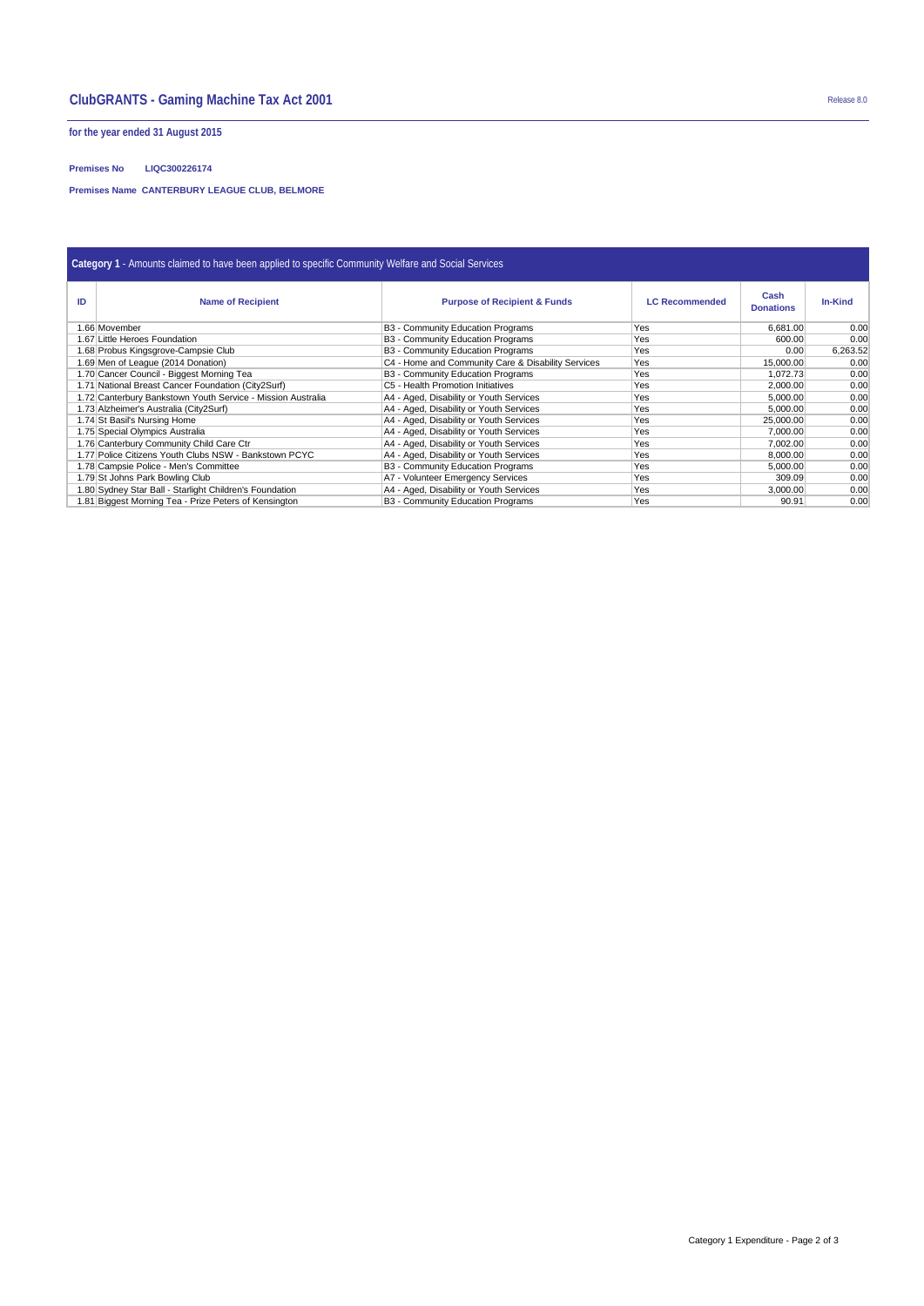# **ClubGRANTS - Gaming Machine Tax Act 2001** Release 8.0

**for the year ended 31 August 2015**

## **Premises No LIQC300226174**

**Premises Name CANTERBURY LEAGUE CLUB, BELMORE**

| Category 1 - Amounts claimed to have been applied to specific Community Welfare and Social Services |                                                             |                                                    |                       |                          |                |  |  |  |
|-----------------------------------------------------------------------------------------------------|-------------------------------------------------------------|----------------------------------------------------|-----------------------|--------------------------|----------------|--|--|--|
| ID                                                                                                  | <b>Name of Recipient</b>                                    | <b>Purpose of Recipient &amp; Funds</b>            | <b>LC Recommended</b> | Cash<br><b>Donations</b> | <b>In-Kind</b> |  |  |  |
|                                                                                                     | 1.66 Movember                                               | B3 - Community Education Programs                  | Yes                   | 6.681.00                 | 0.00           |  |  |  |
|                                                                                                     | 1.67 Little Heroes Foundation                               | B3 - Community Education Programs                  | <b>Yes</b>            | 600.00                   | 0.00           |  |  |  |
|                                                                                                     | 1.68 Probus Kingsgrove-Campsie Club                         | B3 - Community Education Programs                  | <b>Yes</b>            | 0.00                     | 6,263.52       |  |  |  |
|                                                                                                     | 1.69 Men of League (2014 Donation)                          | C4 - Home and Community Care & Disability Services | Yes                   | 15,000.00                | 0.00           |  |  |  |
|                                                                                                     | 1.70 Cancer Council - Biggest Morning Tea                   | B3 - Community Education Programs                  | Yes                   | 1,072.73                 | 0.00           |  |  |  |
|                                                                                                     | 1.71 National Breast Cancer Foundation (City2Surf)          | C5 - Health Promotion Initiatives                  | Yes                   | 2,000.00                 | 0.00           |  |  |  |
|                                                                                                     | 1.72 Canterbury Bankstown Youth Service - Mission Australia | A4 - Aged, Disability or Youth Services            | Yes                   | 5,000.00                 | 0.00           |  |  |  |
|                                                                                                     | 1.73 Alzheimer's Australia (City2Surf)                      | A4 - Aged, Disability or Youth Services            | Yes                   | 5.000.00                 | 0.00           |  |  |  |
|                                                                                                     | 1.74 St Basil's Nursing Home                                | A4 - Aged, Disability or Youth Services            | Yes                   | 25,000.00                | 0.00           |  |  |  |
|                                                                                                     | 1.75 Special Olympics Australia                             | A4 - Aged, Disability or Youth Services            | <b>Yes</b>            | 7,000.00                 | 0.00           |  |  |  |
|                                                                                                     | 1.76 Canterbury Community Child Care Ctr                    | A4 - Aged, Disability or Youth Services            | <b>Yes</b>            | 7.002.00                 | 0.00           |  |  |  |
|                                                                                                     | 1.77 Police Citizens Youth Clubs NSW - Bankstown PCYC       | A4 - Aged, Disability or Youth Services            | Yes                   | 8,000.00                 | 0.00           |  |  |  |
|                                                                                                     | 1.78 Campsie Police - Men's Committee                       | B3 - Community Education Programs                  | Yes                   | 5.000.00                 | 0.00           |  |  |  |
|                                                                                                     | 1.79 St Johns Park Bowling Club                             | A7 - Volunteer Emergency Services                  | <b>Yes</b>            | 309.09                   | 0.00           |  |  |  |
|                                                                                                     | 1.80 Sydney Star Ball - Starlight Children's Foundation     | A4 - Aged, Disability or Youth Services            | Yes                   | 3.000.00                 | 0.00           |  |  |  |
|                                                                                                     | 1.81 Biggest Morning Tea - Prize Peters of Kensington       | B3 - Community Education Programs                  | Yes                   | 90.91                    | 0.00           |  |  |  |